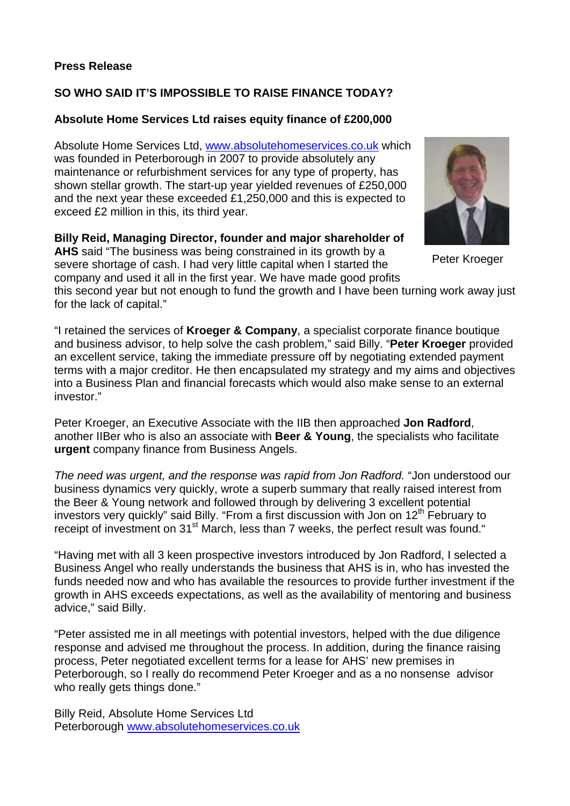## **Press Release**

## **SO WHO SAID IT'S IMPOSSIBLE TO RAISE FINANCE TODAY?**

## **Absolute Home Services Ltd raises equity finance of £200,000**

Absolute Home Services Ltd, [www.absolutehomeservices.co.uk](http://www.absolutehomeservices.co.uk/) which was founded in Peterborough in 2007 to provide absolutely any maintenance or refurbishment services for any type of property, has shown stellar growth. The start-up year yielded revenues of £250,000 and the next year these exceeded £1,250,000 and this is expected to exceed £2 million in this, its third year.

**Billy Reid, Managing Director, founder and major shareholder of AHS** said "The business was being constrained in its growth by a severe shortage of cash. I had very little capital when I started the

company and used it all in the first year. We have made good profits

this second year but not enough to fund the growth and I have been turning work away just for the lack of capital."

"I retained the services of **Kroeger & Company**, a specialist corporate finance boutique and business advisor, to help solve the cash problem," said Billy. "**Peter Kroeger** provided an excellent service, taking the immediate pressure off by negotiating extended payment terms with a major creditor. He then encapsulated my strategy and my aims and objectives into a Business Plan and financial forecasts which would also make sense to an external investor."

Peter Kroeger, an Executive Associate with the IIB then approached **Jon Radford**, another IIBer who is also an associate with **Beer & Young**, the specialists who facilitate **urgent** company finance from Business Angels.

*The need was urgent, and the response was rapid from Jon Radford.* "Jon understood our business dynamics very quickly, wrote a superb summary that really raised interest from the Beer & Young network and followed through by delivering 3 excellent potential investors very quickly" said Billy. "From a first discussion with Jon on  $12<sup>th</sup>$  February to receipt of investment on 31<sup>st</sup> March, less than 7 weeks, the perfect result was found."

"Having met with all 3 keen prospective investors introduced by Jon Radford, I selected a Business Angel who really understands the business that AHS is in, who has invested the funds needed now and who has available the resources to provide further investment if the growth in AHS exceeds expectations, as well as the availability of mentoring and business advice," said Billy.

"Peter assisted me in all meetings with potential investors, helped with the due diligence response and advised me throughout the process. In addition, during the finance raising process, Peter negotiated excellent terms for a lease for AHS' new premises in Peterborough, so I really do recommend Peter Kroeger and as a no nonsense advisor who really gets things done."

Billy Reid, Absolute Home Services Ltd Peterborough [www.absolutehomeservices.co.uk](http://www.absolutehomeservices.co.uk/)

Peter Kroeger